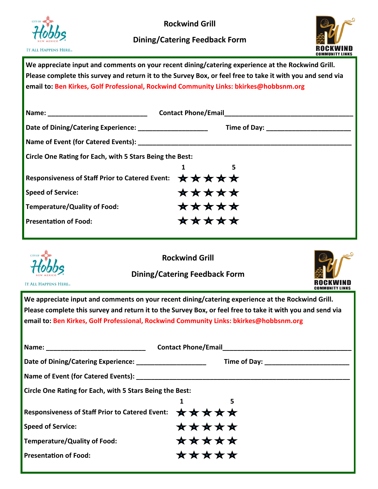

**Rockwind Grill**

## **Dining/Catering Feedback Form**



**We appreciate input and comments on your recent dining/catering experience at the Rockwind Grill. Please complete this survey and return it to the Survey Box, or feel free to take it with you and send via email to: Ben Kirkes, Golf Professional, Rockwind Community Links: bkirkes@hobbsnm.org** 

| Circle One Rating for Each, with 5 Stars Being the Best: |       |  |  |
|----------------------------------------------------------|-------|--|--|
|                                                          | 5     |  |  |
| <b>Responsiveness of Staff Prior to Catered Event:</b>   | ***** |  |  |
| <b>Speed of Service:</b>                                 | ***** |  |  |
| <b>Temperature/Quality of Food:</b>                      | ***** |  |  |
| <b>Presentation of Food:</b>                             | ***** |  |  |



**Rockwind Grill**

**Dining/Catering Feedback Form**



**IT ALL HAPPENS HERE** 

**We appreciate input and comments on your recent dining/catering experience at the Rockwind Grill. Please complete this survey and return it to the Survey Box, or feel free to take it with you and send via email to: Ben Kirkes, Golf Professional, Rockwind Community Links: bkirkes@hobbsnm.org** 

| Date of Dining/Catering Experience: ______________________ |       |  |  |  |
|------------------------------------------------------------|-------|--|--|--|
|                                                            |       |  |  |  |
| Circle One Rating for Each, with 5 Stars Being the Best:   |       |  |  |  |
|                                                            | 5     |  |  |  |
| <b>Responsiveness of Staff Prior to Catered Event:</b>     | ***** |  |  |  |
| <b>Speed of Service:</b>                                   | ***** |  |  |  |
| <b>Temperature/Quality of Food:</b>                        | ***** |  |  |  |
| <b>Presentation of Food:</b>                               | ***** |  |  |  |